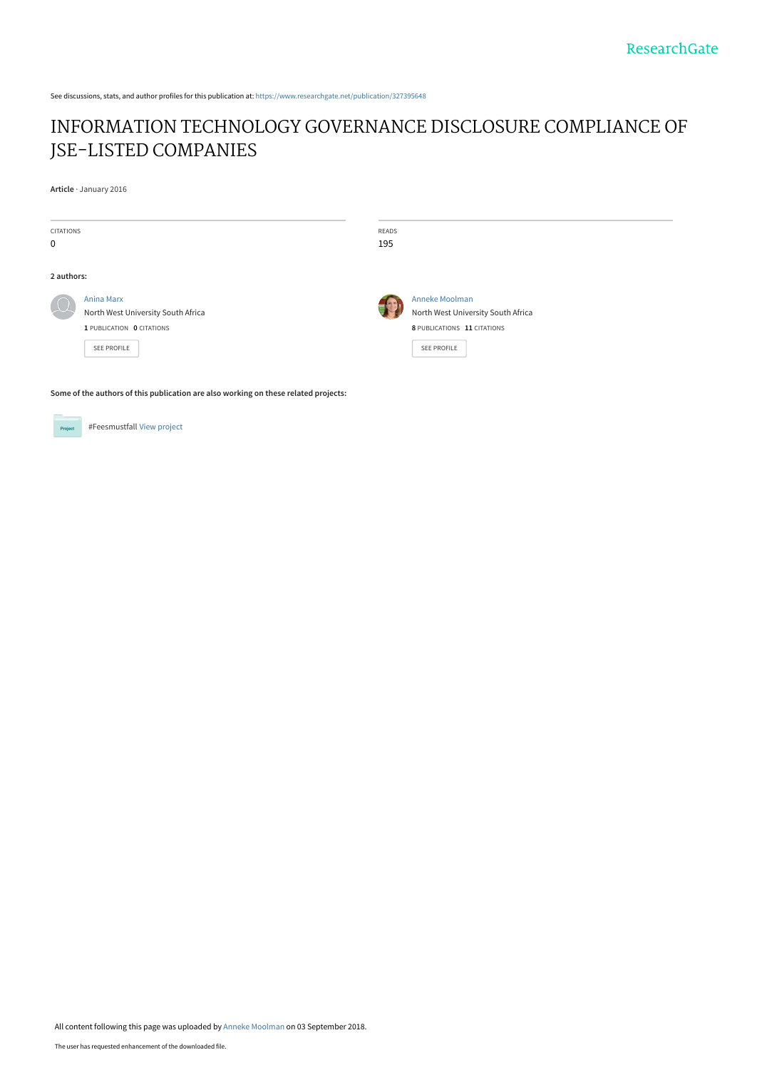See discussions, stats, and author profiles for this publication at: [https://www.researchgate.net/publication/327395648](https://www.researchgate.net/publication/327395648_INFORMATION_TECHNOLOGY_GOVERNANCE_DISCLOSURE_COMPLIANCE_OF_JSE-LISTED_COMPANIES?enrichId=rgreq-b2a49d7e55ce939dff79de4db8c82967-XXX&enrichSource=Y292ZXJQYWdlOzMyNzM5NTY0ODtBUzo2NjY3MjQxMzExNzIzNTNAMTUzNTk3MDgyODQ3MA%3D%3D&el=1_x_2&_esc=publicationCoverPdf)

# [INFORMATION TECHNOLOGY GOVERNANCE DISCLOSURE COMPLIANCE OF](https://www.researchgate.net/publication/327395648_INFORMATION_TECHNOLOGY_GOVERNANCE_DISCLOSURE_COMPLIANCE_OF_JSE-LISTED_COMPANIES?enrichId=rgreq-b2a49d7e55ce939dff79de4db8c82967-XXX&enrichSource=Y292ZXJQYWdlOzMyNzM5NTY0ODtBUzo2NjY3MjQxMzExNzIzNTNAMTUzNTk3MDgyODQ3MA%3D%3D&el=1_x_3&_esc=publicationCoverPdf) JSE-LISTED COMPANIES

**Article** · January 2016

| <b>CITATIONS</b><br>$\mathbf 0$ |                                                                                                     | <b>READS</b><br>195 |                                                                                                           |
|---------------------------------|-----------------------------------------------------------------------------------------------------|---------------------|-----------------------------------------------------------------------------------------------------------|
| 2 authors:                      |                                                                                                     |                     |                                                                                                           |
|                                 | Anina Marx<br>North West University South Africa<br>1 PUBLICATION 0 CITATIONS<br><b>SEE PROFILE</b> |                     | Anneke Moolman<br>North West University South Africa<br>8 PUBLICATIONS 11 CITATIONS<br><b>SEE PROFILE</b> |

**Some of the authors of this publication are also working on these related projects:**



#Feesmustfall [View project](https://www.researchgate.net/project/Feesmustfall?enrichId=rgreq-b2a49d7e55ce939dff79de4db8c82967-XXX&enrichSource=Y292ZXJQYWdlOzMyNzM5NTY0ODtBUzo2NjY3MjQxMzExNzIzNTNAMTUzNTk3MDgyODQ3MA%3D%3D&el=1_x_9&_esc=publicationCoverPdf)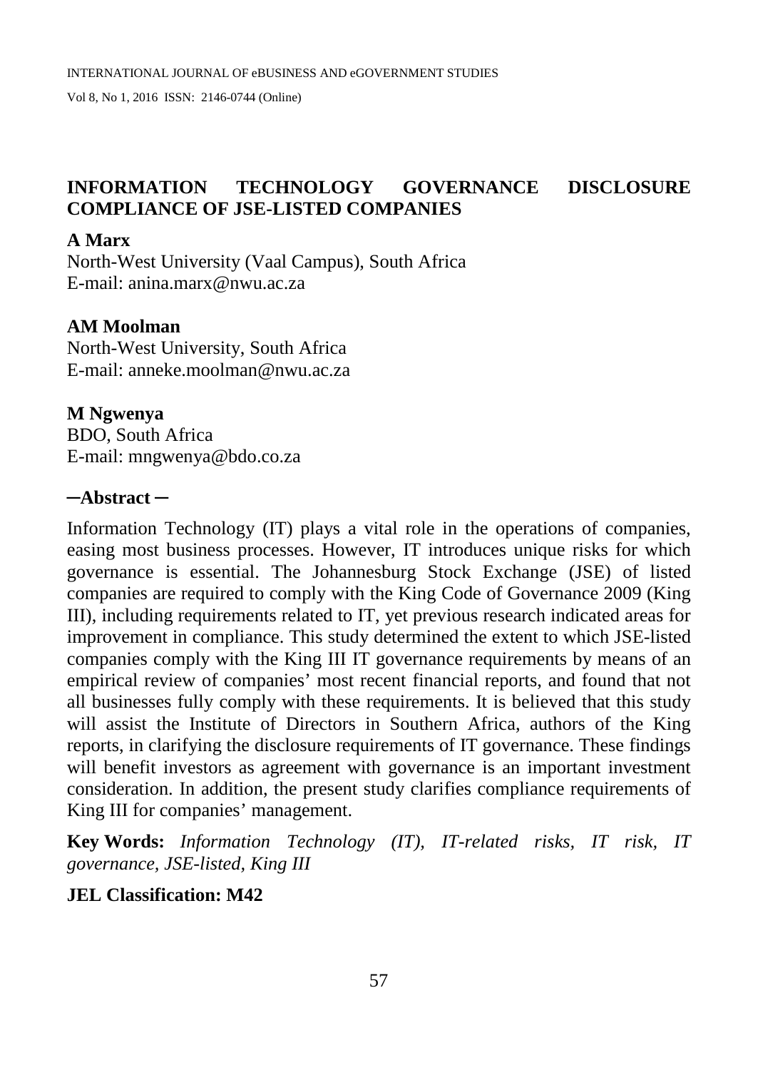## **INFORMATION TECHNOLOGY GOVERNANCE DISCLOSURE COMPLIANCE OF JSE-LISTED COMPANIES**

#### **A Marx**

North-West University (Vaal Campus), South Africa E-mail: anina.marx@nwu.ac.za

#### **AM Moolman**

North-West University, South Africa E-mail: anneke.moolman@nwu.ac.za

**M Ngwenya** BDO, South Africa E-mail: mngwenya@bdo.co.za

#### **─Abstract ─**

Information Technology (IT) plays a vital role in the operations of companies, easing most business processes. However, IT introduces unique risks for which governance is essential. The Johannesburg Stock Exchange (JSE) of listed companies are required to comply with the King Code of Governance 2009 (King III), including requirements related to IT, yet previous research indicated areas for improvement in compliance. This study determined the extent to which JSE-listed companies comply with the King III IT governance requirements by means of an empirical review of companies' most recent financial reports, and found that not all businesses fully comply with these requirements. It is believed that this study will assist the Institute of Directors in Southern Africa, authors of the King reports, in clarifying the disclosure requirements of IT governance. These findings will benefit investors as agreement with governance is an important investment consideration. In addition, the present study clarifies compliance requirements of King III for companies' management.

**Key Words:** *Information Technology (IT), IT-related risks, IT risk, IT governance, JSE-listed, King III*

## **JEL Classification: M42**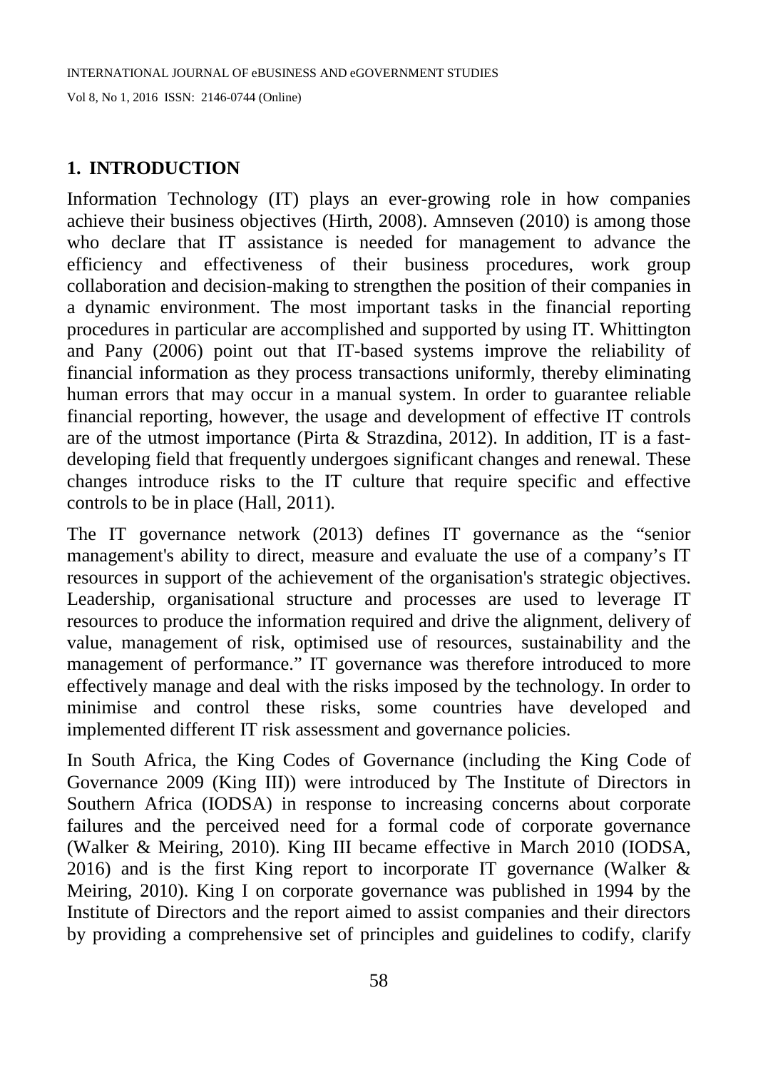## **1. INTRODUCTION**

Information Technology (IT) plays an ever-growing role in how companies achieve their business objectives (Hirth, 2008). Amnseven (2010) is among those who declare that IT assistance is needed for management to advance the efficiency and effectiveness of their business procedures, work group collaboration and decision-making to strengthen the position of their companies in a dynamic environment. The most important tasks in the financial reporting procedures in particular are accomplished and supported by using IT. Whittington and Pany (2006) point out that IT-based systems improve the reliability of financial information as they process transactions uniformly, thereby eliminating human errors that may occur in a manual system. In order to guarantee reliable financial reporting, however, the usage and development of effective IT controls are of the utmost importance (Pirta & Strazdina, 2012). In addition, IT is a fastdeveloping field that frequently undergoes significant changes and renewal. These changes introduce risks to the IT culture that require specific and effective controls to be in place (Hall, 2011).

The IT governance network (2013) defines IT governance as the "senior management's ability to direct, measure and evaluate the use of a company's IT resources in support of the achievement of the organisation's strategic objectives. Leadership, organisational structure and processes are used to leverage IT resources to produce the information required and drive the alignment, delivery of value, management of risk, optimised use of resources, sustainability and the management of performance." IT governance was therefore introduced to more effectively manage and deal with the risks imposed by the technology. In order to minimise and control these risks, some countries have developed and implemented different IT risk assessment and governance policies.

In South Africa, the King Codes of Governance (including the King Code of Governance 2009 (King III)) were introduced by The Institute of Directors in Southern Africa (IODSA) in response to increasing concerns about corporate failures and the perceived need for a formal code of corporate governance (Walker & Meiring, 2010). King III became effective in March 2010 (IODSA, 2016) and is the first King report to incorporate IT governance (Walker  $\&$ Meiring, 2010). King I on corporate governance was published in 1994 by the Institute of Directors and the report aimed to assist companies and their directors by providing a comprehensive set of principles and guidelines to codify, clarify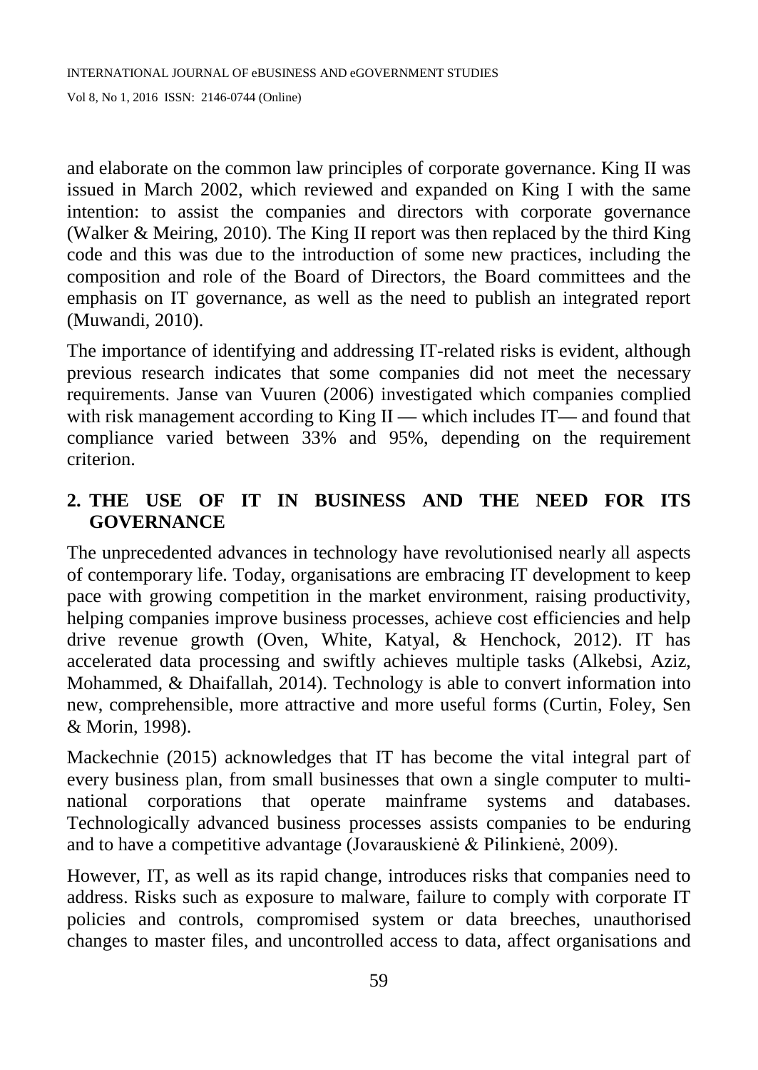and elaborate on the common law principles of corporate governance. King II was issued in March 2002, which reviewed and expanded on King I with the same intention: to assist the companies and directors with corporate governance (Walker & Meiring, 2010). The King II report was then replaced by the third King code and this was due to the introduction of some new practices, including the composition and role of the Board of Directors, the Board committees and the emphasis on IT governance, as well as the need to publish an integrated report (Muwandi, 2010).

The importance of identifying and addressing IT-related risks is evident, although previous research indicates that some companies did not meet the necessary requirements. Janse van Vuuren (2006) investigated which companies complied with risk management according to King II — which includes IT— and found that compliance varied between 33% and 95%, depending on the requirement criterion.

# **2. THE USE OF IT IN BUSINESS AND THE NEED FOR ITS GOVERNANCE**

The unprecedented advances in technology have revolutionised nearly all aspects of contemporary life. Today, organisations are embracing IT development to keep pace with growing competition in the market environment, raising productivity, helping companies improve business processes, achieve cost efficiencies and help drive revenue growth (Oven, White, Katyal, & Henchock, 2012). IT has accelerated data processing and swiftly achieves multiple tasks (Alkebsi, Aziz, Mohammed, & Dhaifallah, 2014). Technology is able to convert information into new, comprehensible, more attractive and more useful forms (Curtin, Foley, Sen & Morin, 1998).

Mackechnie (2015) acknowledges that IT has become the vital integral part of every business plan, from small businesses that own a single computer to multinational corporations that operate mainframe systems and databases. Technologically advanced business processes assists companies to be enduring and to have a competitive advantage (Jovarauskienė & Pilinkienė, 2009).

However, IT, as well as its rapid change, introduces risks that companies need to address. Risks such as exposure to malware, failure to comply with corporate IT policies and controls, compromised system or data breeches, unauthorised changes to master files, and uncontrolled access to data, affect organisations and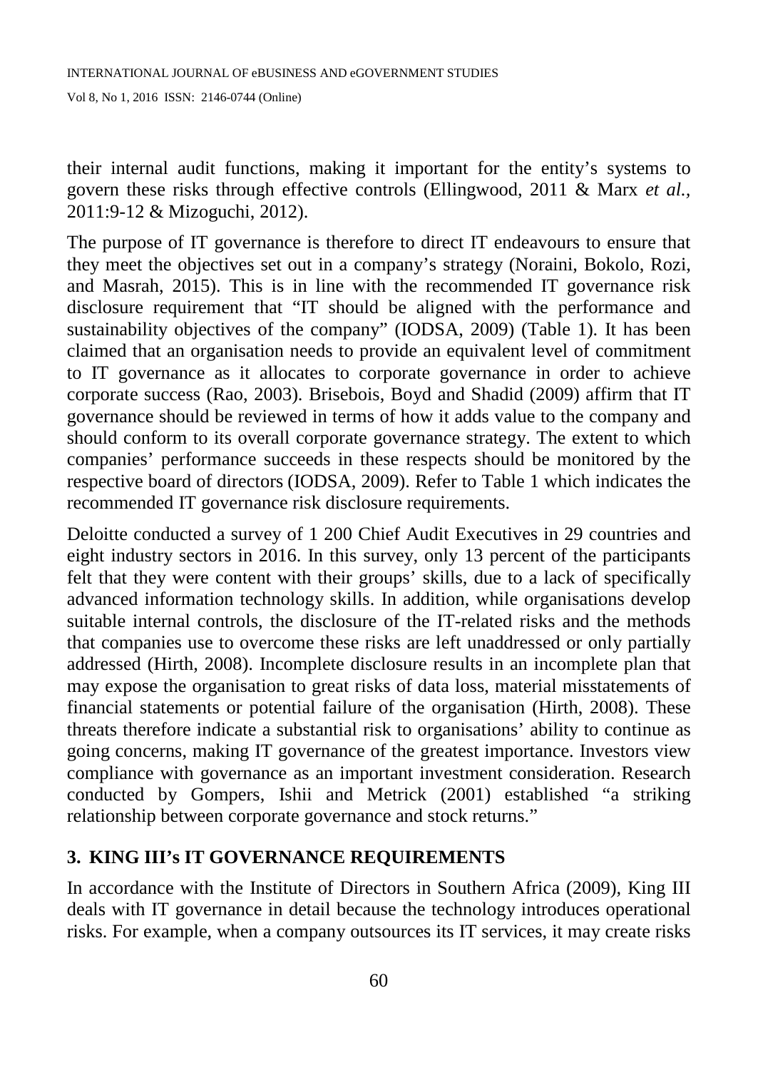their internal audit functions, making it important for the entity's systems to govern these risks through effective controls (Ellingwood, 2011 & Marx *et al.,*  2011:9-12 & Mizoguchi, 2012).

The purpose of IT governance is therefore to direct IT endeavours to ensure that they meet the objectives set out in a company's strategy (Noraini, Bokolo, Rozi, and Masrah, 2015). This is in line with the recommended IT governance risk disclosure requirement that "IT should be aligned with the performance and sustainability objectives of the company" (IODSA, 2009) (Table 1). It has been claimed that an organisation needs to provide an equivalent level of commitment to IT governance as it allocates to corporate governance in order to achieve corporate success (Rao, 2003). Brisebois, Boyd and Shadid (2009) affirm that IT governance should be reviewed in terms of how it adds value to the company and should conform to its overall corporate governance strategy. The extent to which companies' performance succeeds in these respects should be monitored by the respective board of directors (IODSA, 2009). Refer to Table 1 which indicates the recommended IT governance risk disclosure requirements.

Deloitte conducted a survey of 1 200 Chief Audit Executives in 29 countries and eight industry sectors in 2016. In this survey, only 13 percent of the participants felt that they were content with their groups' skills, due to a lack of specifically advanced information technology skills. In addition, while organisations develop suitable internal controls, the disclosure of the IT-related risks and the methods that companies use to overcome these risks are left unaddressed or only partially addressed (Hirth, 2008). Incomplete disclosure results in an incomplete plan that may expose the organisation to great risks of data loss, material misstatements of financial statements or potential failure of the organisation (Hirth, 2008). These threats therefore indicate a substantial risk to organisations' ability to continue as going concerns, making IT governance of the greatest importance. Investors view compliance with governance as an important investment consideration. Research conducted by Gompers, Ishii and Metrick (2001) established "a striking relationship between corporate governance and stock returns."

#### **3. KING III's IT GOVERNANCE REQUIREMENTS**

In accordance with the Institute of Directors in Southern Africa (2009), King III deals with IT governance in detail because the technology introduces operational risks. For example, when a company outsources its IT services, it may create risks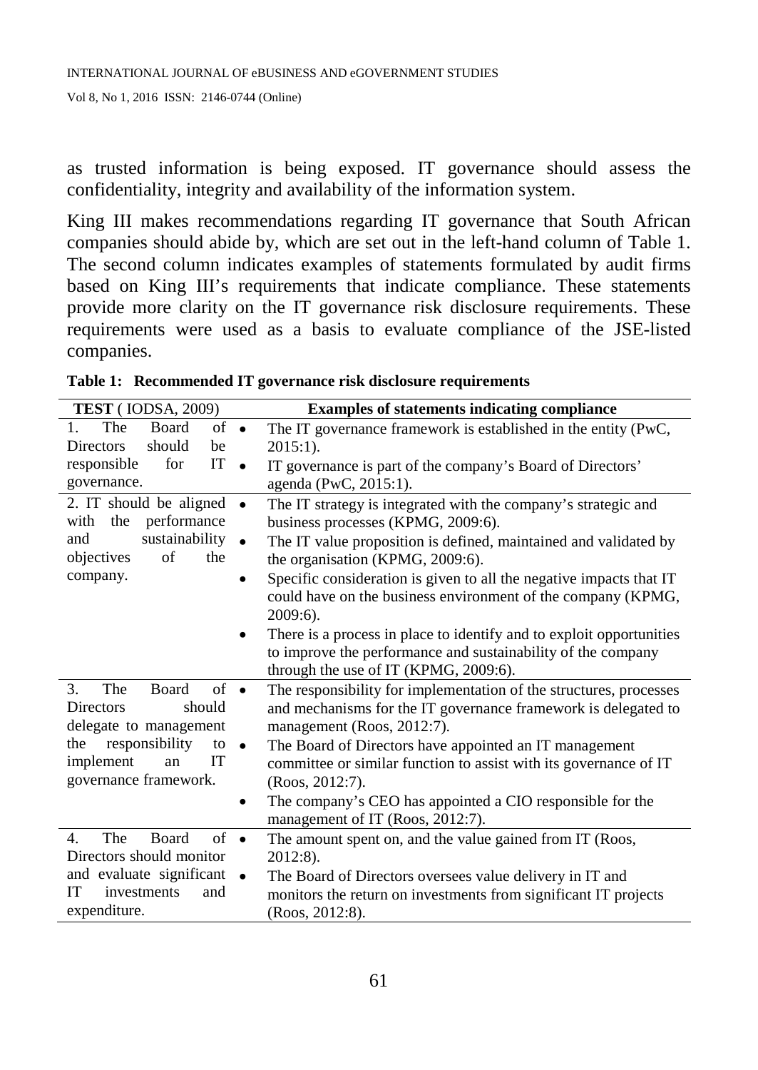as trusted information is being exposed. IT governance should assess the confidentiality, integrity and availability of the information system.

King III makes recommendations regarding IT governance that South African companies should abide by, which are set out in the left-hand column of Table 1. The second column indicates examples of statements formulated by audit firms based on King III's requirements that indicate compliance. These statements provide more clarity on the IT governance risk disclosure requirements. These requirements were used as a basis to evaluate compliance of the JSE-listed companies.

| <b>TEST</b> (IODSA, 2009)                            | <b>Examples of statements indicating compliance</b>                  |  |  |  |  |  |  |
|------------------------------------------------------|----------------------------------------------------------------------|--|--|--|--|--|--|
| The<br>$1_{-}$<br>Board<br>$of \bullet$              | The IT governance framework is established in the entity (PwC,       |  |  |  |  |  |  |
| should<br><b>Directors</b><br>be                     | $2015:1$ ).                                                          |  |  |  |  |  |  |
| IT<br>responsible<br>for<br>$\bullet$                | IT governance is part of the company's Board of Directors'           |  |  |  |  |  |  |
| governance.                                          | agenda (PwC, 2015:1).                                                |  |  |  |  |  |  |
| 2. IT should be aligned<br>$\bullet$                 | The IT strategy is integrated with the company's strategic and       |  |  |  |  |  |  |
| performance<br>with the                              | business processes (KPMG, 2009:6).                                   |  |  |  |  |  |  |
| sustainability<br>and<br>$\bullet$                   | The IT value proposition is defined, maintained and validated by     |  |  |  |  |  |  |
| of<br>objectives<br>the                              | the organisation (KPMG, 2009:6).                                     |  |  |  |  |  |  |
| company.<br>$\bullet$                                | Specific consideration is given to all the negative impacts that IT  |  |  |  |  |  |  |
|                                                      | could have on the business environment of the company (KPMG,         |  |  |  |  |  |  |
|                                                      | 2009:6).                                                             |  |  |  |  |  |  |
| $\bullet$                                            | There is a process in place to identify and to exploit opportunities |  |  |  |  |  |  |
|                                                      | to improve the performance and sustainability of the company         |  |  |  |  |  |  |
|                                                      | through the use of IT (KPMG, 2009:6).                                |  |  |  |  |  |  |
| The<br>Board<br>$of \bullet$<br>3.                   | The responsibility for implementation of the structures, processes   |  |  |  |  |  |  |
| should<br>Directors                                  | and mechanisms for the IT governance framework is delegated to       |  |  |  |  |  |  |
| delegate to management                               | management (Roos, 2012:7).                                           |  |  |  |  |  |  |
| responsibility<br>the<br>to<br>$\bullet$             | The Board of Directors have appointed an IT management               |  |  |  |  |  |  |
| implement<br>IT<br>an                                | committee or similar function to assist with its governance of IT    |  |  |  |  |  |  |
| governance framework.                                | $(Roos, 2012:7)$ .                                                   |  |  |  |  |  |  |
|                                                      | The company's CEO has appointed a CIO responsible for the            |  |  |  |  |  |  |
|                                                      | management of IT (Roos, 2012:7).                                     |  |  |  |  |  |  |
| The<br>$\sigma$ f<br><b>Board</b><br>4.<br>$\bullet$ | The amount spent on, and the value gained from IT (Roos,             |  |  |  |  |  |  |
| Directors should monitor                             | 2012:8).                                                             |  |  |  |  |  |  |
| and evaluate significant                             | The Board of Directors oversees value delivery in IT and             |  |  |  |  |  |  |
| <b>IT</b><br>investments<br>and                      | monitors the return on investments from significant IT projects      |  |  |  |  |  |  |
| expenditure.                                         | $(Roos, 2012:8)$ .                                                   |  |  |  |  |  |  |

**Table 1: Recommended IT governance risk disclosure requirements**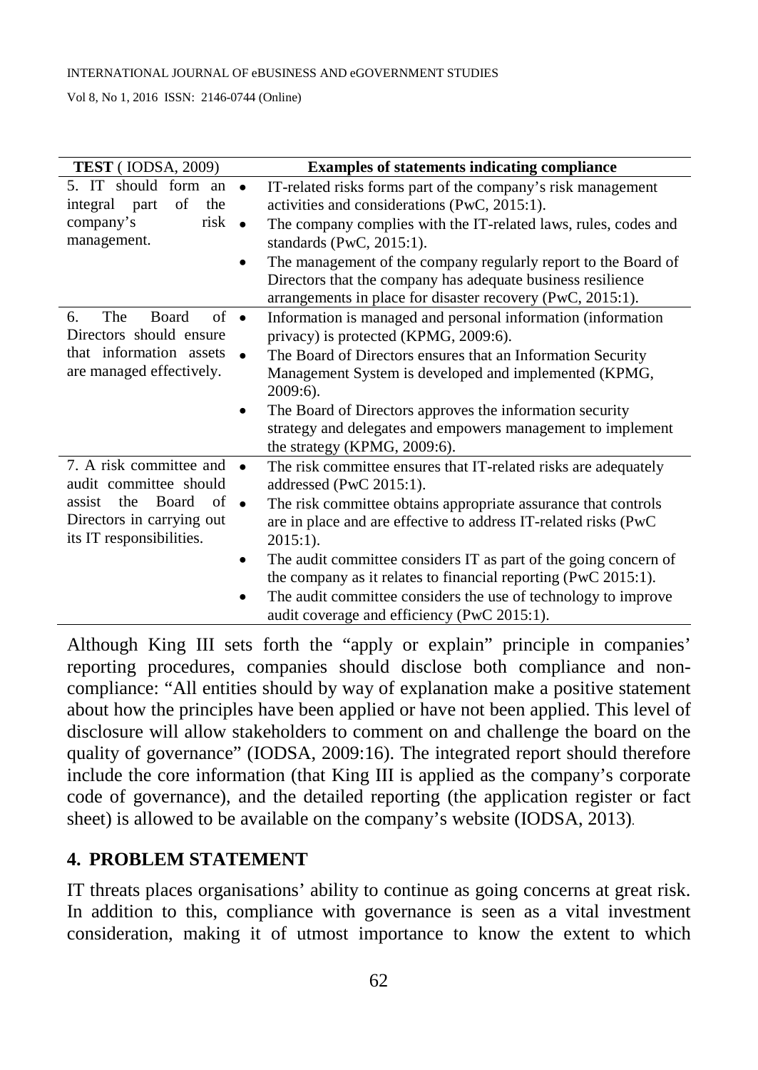#### INTERNATIONAL JOURNAL OF eBUSINESS AND eGOVERNMENT STUDIES

Vol 8, No 1, 2016 ISSN: 2146-0744 (Online)

| <b>TEST</b> (IODSA, 2009)                                                                                                                                         | <b>Examples of statements indicating compliance</b>                                                                                                                                                                                                                                                                                                                                                                                                                                                   |  |  |  |  |  |
|-------------------------------------------------------------------------------------------------------------------------------------------------------------------|-------------------------------------------------------------------------------------------------------------------------------------------------------------------------------------------------------------------------------------------------------------------------------------------------------------------------------------------------------------------------------------------------------------------------------------------------------------------------------------------------------|--|--|--|--|--|
| 5. IT should form an<br>of the<br>integral part<br>risk<br>company's<br>management.                                                                               | IT-related risks forms part of the company's risk management<br>activities and considerations (PwC, 2015:1).<br>The company complies with the IT-related laws, rules, codes and<br>standards (PwC, 2015:1).<br>The management of the company regularly report to the Board of<br>Directors that the company has adequate business resilience<br>arrangements in place for disaster recovery (PwC, 2015:1).                                                                                            |  |  |  |  |  |
| The<br>of<br><b>Board</b><br>6.<br>$\bullet$<br>Directors should ensure<br>that information assets<br>are managed effectively.                                    | Information is managed and personal information (information<br>privacy) is protected (KPMG, 2009:6).<br>The Board of Directors ensures that an Information Security<br>Management System is developed and implemented (KPMG,<br>$2009:6$ ).<br>The Board of Directors approves the information security<br>strategy and delegates and empowers management to implement<br>the strategy (KPMG, 2009:6).                                                                                               |  |  |  |  |  |
| 7. A risk committee and<br>audit committee should<br>Board<br>of<br>the<br>assist<br>$\bullet$<br>Directors in carrying out<br>its IT responsibilities.<br>٠<br>٠ | The risk committee ensures that IT-related risks are adequately<br>addressed (PwC 2015:1).<br>The risk committee obtains appropriate assurance that controls<br>are in place and are effective to address IT-related risks (PwC<br>$2015:1$ ).<br>The audit committee considers IT as part of the going concern of<br>the company as it relates to financial reporting (PwC 2015:1).<br>The audit committee considers the use of technology to improve<br>audit coverage and efficiency (PwC 2015:1). |  |  |  |  |  |

Although King III sets forth the "apply or explain" principle in companies' reporting procedures, companies should disclose both compliance and noncompliance: "All entities should by way of explanation make a positive statement about how the principles have been applied or have not been applied. This level of disclosure will allow stakeholders to comment on and challenge the board on the quality of governance" (IODSA, 2009:16). The integrated report should therefore include the core information (that King III is applied as the company's corporate code of governance), and the detailed reporting (the application register or fact sheet) is allowed to be available on the company's website (IODSA, 2013).

## **4. PROBLEM STATEMENT**

IT threats places organisations' ability to continue as going concerns at great risk. In addition to this, compliance with governance is seen as a vital investment consideration, making it of utmost importance to know the extent to which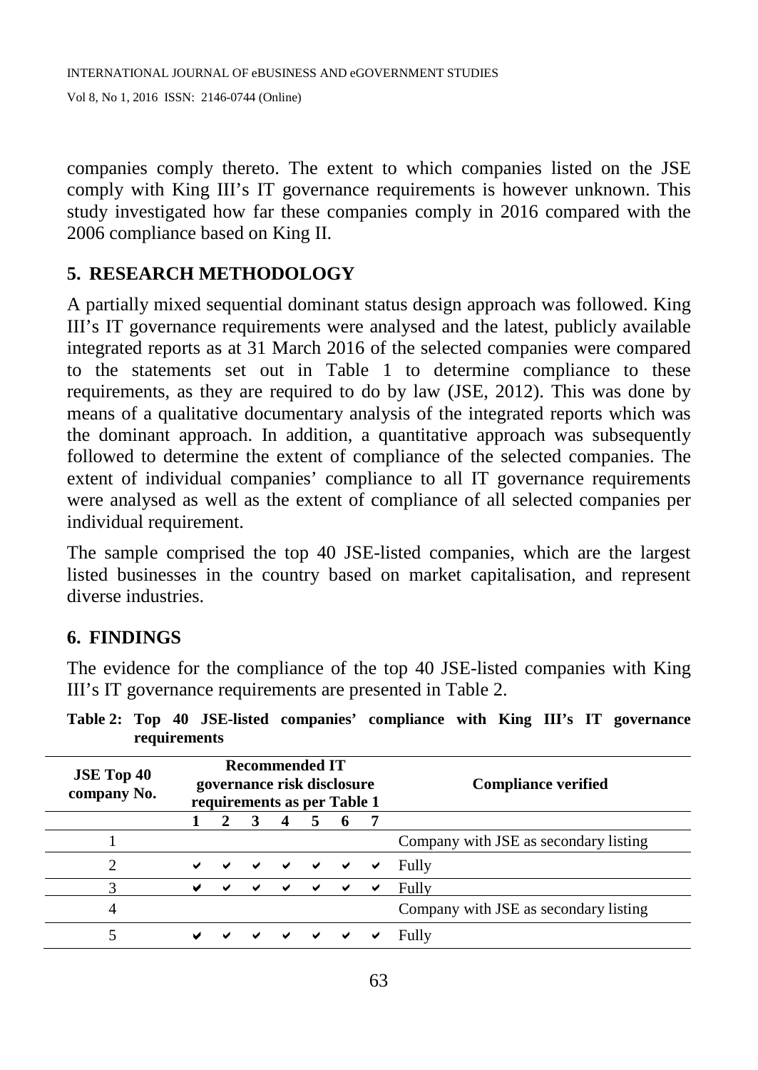companies comply thereto. The extent to which companies listed on the JSE comply with King III's IT governance requirements is however unknown. This study investigated how far these companies comply in 2016 compared with the 2006 compliance based on King II.

## **5. RESEARCH METHODOLOGY**

A partially mixed sequential dominant status design approach was followed. King III's IT governance requirements were analysed and the latest, publicly available integrated reports as at 31 March 2016 of the selected companies were compared to the statements set out in Table 1 to determine compliance to these requirements, as they are required to do by law (JSE, 2012). This was done by means of a qualitative documentary analysis of the integrated reports which was the dominant approach. In addition, a quantitative approach was subsequently followed to determine the extent of compliance of the selected companies. The extent of individual companies' compliance to all IT governance requirements were analysed as well as the extent of compliance of all selected companies per individual requirement.

The sample comprised the top 40 JSE-listed companies, which are the largest listed businesses in the country based on market capitalisation, and represent diverse industries.

# **6. FINDINGS**

The evidence for the compliance of the top 40 JSE-listed companies with King III's IT governance requirements are presented in Table 2.

| <b>JSE Top 40</b><br>company No. | <b>Recommended IT</b><br>governance risk disclosure<br>requirements as per Table 1 |   |              |              |              |   |   | <b>Compliance verified</b>            |
|----------------------------------|------------------------------------------------------------------------------------|---|--------------|--------------|--------------|---|---|---------------------------------------|
|                                  |                                                                                    |   |              |              |              |   |   |                                       |
|                                  |                                                                                    |   |              |              |              |   |   | Company with JSE as secondary listing |
| ∍                                | $\checkmark$                                                                       |   | $\checkmark$ | $\checkmark$ | $\checkmark$ | ✔ | ✔ | Fully                                 |
|                                  | ✔                                                                                  | ✔ |              | ✔            | ✔            | ✔ | ✔ | Fully                                 |
| 4                                |                                                                                    |   |              |              |              |   |   | Company with JSE as secondary listing |
|                                  | ✔                                                                                  |   |              | ✔            | ✔            |   |   | Fully                                 |

**Table 2: Top 40 JSE-listed companies' compliance with King III's IT governance requirements**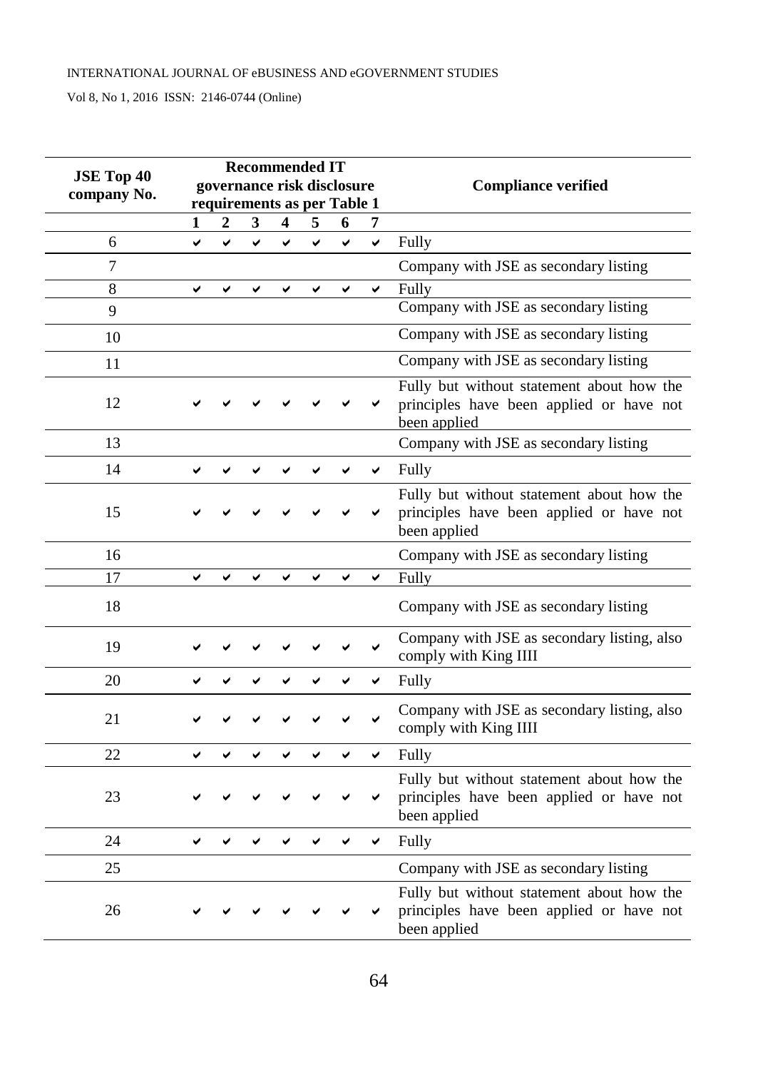#### INTERNATIONAL JOURNAL OF eBUSINESS AND eGOVERNMENT STUDIES

Vol 8, No 1, 2016 ISSN: 2146-0744 (Online)

| <b>JSE Top 40</b> |                             |   | <b>Recommended IT</b> |   |   |   |              |                                                                                                       |
|-------------------|-----------------------------|---|-----------------------|---|---|---|--------------|-------------------------------------------------------------------------------------------------------|
| company No.       | governance risk disclosure  |   |                       |   |   |   |              | <b>Compliance verified</b>                                                                            |
|                   | requirements as per Table 1 |   |                       |   |   |   |              |                                                                                                       |
|                   | 1                           | 2 | 3                     | 4 | 5 | 6 | 7            |                                                                                                       |
| 6                 | ✓                           |   | ✓                     |   |   | V | ✓            | Fully                                                                                                 |
| $\overline{7}$    |                             |   |                       |   |   |   |              | Company with JSE as secondary listing                                                                 |
| $\overline{8}$    | ✓                           | ✓ | ✓                     | ✓ | ✓ | ✓ | $\checkmark$ | Fully                                                                                                 |
| 9                 |                             |   |                       |   |   |   |              | Company with JSE as secondary listing                                                                 |
| 10                |                             |   |                       |   |   |   |              | Company with JSE as secondary listing                                                                 |
| 11                |                             |   |                       |   |   |   |              | Company with JSE as secondary listing                                                                 |
| 12                |                             |   |                       |   |   |   |              | Fully but without statement about how the<br>principles have been applied or have not<br>been applied |
| 13                |                             |   |                       |   |   |   |              | Company with JSE as secondary listing                                                                 |
| 14                |                             |   |                       |   |   |   | ✓            | Fully                                                                                                 |
| 15                |                             |   |                       |   |   |   |              | Fully but without statement about how the<br>principles have been applied or have not<br>been applied |
| 16                |                             |   |                       |   |   |   |              | Company with JSE as secondary listing                                                                 |
| 17                | ✓                           | ✔ | ✓                     | ✓ | ✔ | ✔ | ✔            | Fully                                                                                                 |
| 18                |                             |   |                       |   |   |   |              | Company with JSE as secondary listing                                                                 |
| 19                |                             |   |                       |   |   |   | ◡            | Company with JSE as secondary listing, also<br>comply with King IIII                                  |
| 20                |                             |   |                       |   |   |   | ✔            | Fully                                                                                                 |
| 21                |                             |   |                       |   |   |   | ◡            | Company with JSE as secondary listing, also<br>comply with King IIII                                  |
| 22                |                             |   | ✔                     | ں |   |   | ✔            | Fully                                                                                                 |
| 23                |                             |   |                       |   |   |   |              | Fully but without statement about how the<br>principles have been applied or have not<br>been applied |
| 24                | ◡                           |   |                       |   |   |   | ✔            | Fully                                                                                                 |
| 25                |                             |   |                       |   |   |   |              | Company with JSE as secondary listing                                                                 |
| 26                |                             |   |                       |   |   |   |              | Fully but without statement about how the<br>principles have been applied or have not<br>been applied |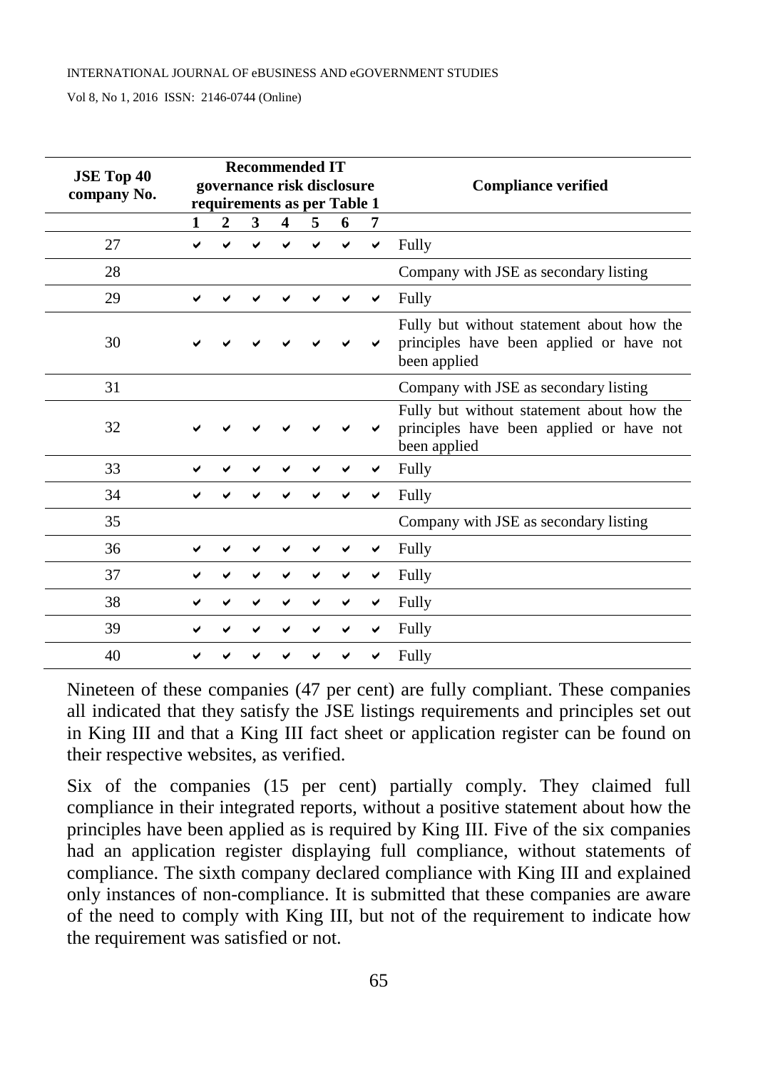| <b>JSE Top 40</b> |   |                |   |                         | <b>Recommended IT</b> | governance risk disclosure  |   | <b>Compliance verified</b>                                                                            |
|-------------------|---|----------------|---|-------------------------|-----------------------|-----------------------------|---|-------------------------------------------------------------------------------------------------------|
| company No.       |   |                |   |                         |                       | requirements as per Table 1 |   |                                                                                                       |
|                   | 1 | $\overline{2}$ | 3 | $\overline{\mathbf{4}}$ | 5                     | 6                           | 7 |                                                                                                       |
| 27                |   |                |   |                         |                       |                             | ✔ | Fully                                                                                                 |
| 28                |   |                |   |                         |                       |                             |   | Company with JSE as secondary listing                                                                 |
| 29                |   |                |   |                         |                       |                             |   | Fully                                                                                                 |
| 30                |   |                |   |                         |                       |                             |   | Fully but without statement about how the<br>principles have been applied or have not<br>been applied |
| 31                |   |                |   |                         |                       |                             |   | Company with JSE as secondary listing                                                                 |
| 32                |   |                |   |                         |                       |                             |   | Fully but without statement about how the<br>principles have been applied or have not<br>been applied |
| 33                |   |                |   |                         |                       |                             |   | Fully                                                                                                 |
| 34                |   |                |   |                         |                       |                             |   | Fully                                                                                                 |
| 35                |   |                |   |                         |                       |                             |   | Company with JSE as secondary listing                                                                 |
| 36                |   |                |   |                         |                       |                             |   | Fully                                                                                                 |
| 37                |   |                |   |                         |                       |                             |   | Fully                                                                                                 |
| 38                |   |                |   |                         |                       |                             | ✔ | Fully                                                                                                 |
| 39                |   |                |   |                         |                       |                             | ✔ | Fully                                                                                                 |
| 40                |   |                |   |                         |                       |                             |   | Fully                                                                                                 |

Nineteen of these companies (47 per cent) are fully compliant. These companies all indicated that they satisfy the JSE listings requirements and principles set out in King III and that a King III fact sheet or application register can be found on their respective websites, as verified.

Six of the companies (15 per cent) partially comply. They claimed full compliance in their integrated reports, without a positive statement about how the principles have been applied as is required by King III. Five of the six companies had an application register displaying full compliance, without statements of compliance. The sixth company declared compliance with King III and explained only instances of non-compliance. It is submitted that these companies are aware of the need to comply with King III, but not of the requirement to indicate how the requirement was satisfied or not.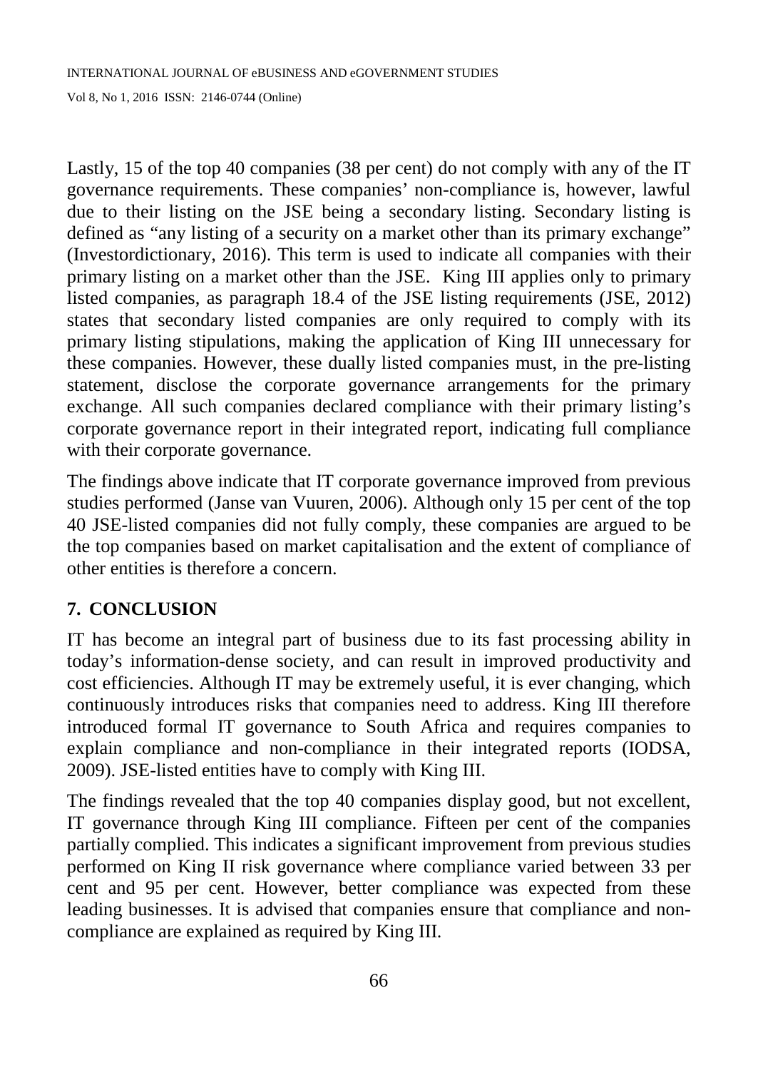Lastly, 15 of the top 40 companies (38 per cent) do not comply with any of the IT governance requirements. These companies' non-compliance is, however, lawful due to their listing on the JSE being a secondary listing. Secondary listing is defined as "any listing of a security on a market other than its primary exchange" (Investordictionary, 2016). This term is used to indicate all companies with their primary listing on a market other than the JSE. King III applies only to primary listed companies, as paragraph 18.4 of the JSE listing requirements (JSE, 2012) states that secondary listed companies are only required to comply with its primary listing stipulations, making the application of King III unnecessary for these companies. However, these dually listed companies must, in the pre-listing statement, disclose the corporate governance arrangements for the primary exchange. All such companies declared compliance with their primary listing's corporate governance report in their integrated report, indicating full compliance with their corporate governance.

The findings above indicate that IT corporate governance improved from previous studies performed (Janse van Vuuren, 2006). Although only 15 per cent of the top 40 JSE-listed companies did not fully comply, these companies are argued to be the top companies based on market capitalisation and the extent of compliance of other entities is therefore a concern.

# **7. CONCLUSION**

IT has become an integral part of business due to its fast processing ability in today's information-dense society, and can result in improved productivity and cost efficiencies. Although IT may be extremely useful, it is ever changing, which continuously introduces risks that companies need to address. King III therefore introduced formal IT governance to South Africa and requires companies to explain compliance and non-compliance in their integrated reports (IODSA, 2009). JSE-listed entities have to comply with King III.

The findings revealed that the top 40 companies display good, but not excellent, IT governance through King III compliance. Fifteen per cent of the companies partially complied. This indicates a significant improvement from previous studies performed on King II risk governance where compliance varied between 33 per cent and 95 per cent. However, better compliance was expected from these leading businesses. It is advised that companies ensure that compliance and noncompliance are explained as required by King III.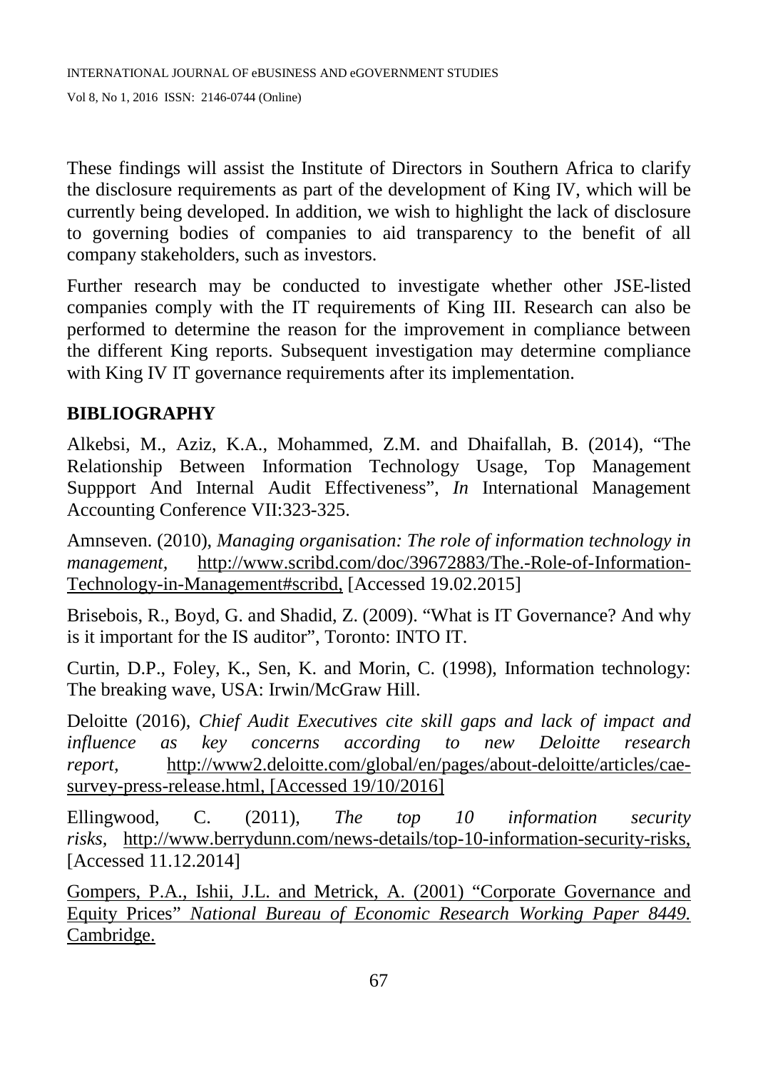These findings will assist the Institute of Directors in Southern Africa to clarify the disclosure requirements as part of the development of King IV, which will be currently being developed. In addition, we wish to highlight the lack of disclosure to governing bodies of companies to aid transparency to the benefit of all company stakeholders, such as investors.

Further research may be conducted to investigate whether other JSE-listed companies comply with the IT requirements of King III. Research can also be performed to determine the reason for the improvement in compliance between the different King reports. Subsequent investigation may determine compliance with King IV IT governance requirements after its implementation.

### **BIBLIOGRAPHY**

Alkebsi, M., Aziz, K.A., Mohammed, Z.M. and Dhaifallah, B. (2014), "The Relationship Between Information Technology Usage, Top Management Suppport And Internal Audit Effectiveness", *In* International Management Accounting Conference VII:323-325.

Amnseven. (2010), *Managing organisation: The role of information technology in management,* http://www.scribd.com/doc/39672883/The.-Role-of-Information-Technology-in-Management#scribd, [Accessed 19.02.2015]

Brisebois, R., Boyd, G. and Shadid, Z. (2009). "What is IT Governance? And why is it important for the IS auditor", Toronto: INTO IT.

Curtin, D.P., Foley, K., Sen, K. and Morin, C. (1998), Information technology: The breaking wave, USA: Irwin/McGraw Hill.

Deloitte (2016), *Chief Audit Executives cite skill gaps and lack of impact and influence as key concerns according to new Deloitte research report,* [http://www2.deloitte.com/global/en/pages/about-deloitte/articles/cae](http://www2.deloitte.com/global/en/pages/about-deloitte/articles/cae-survey-press-release.html)[survey-press-release.html,](http://www2.deloitte.com/global/en/pages/about-deloitte/articles/cae-survey-press-release.html) [Accessed 19/10/2016]

Ellingwood, C. (2011), *The top 10 information security risks,* http://www.berrydunn.com/news-details/top-10-information-security-risks, [Accessed 11.12.2014]

[Gompers,](http://www.nber.org/people/paul_gompers) P.A., [Ishii,](http://www.nber.org/people/joy_ishii) J.L. and [Metrick,](http://www.nber.org/people/andrew_metrick) A. (2001) "Corporate Governance and Equity Prices" *National Bureau of Economic Research Working Paper 8449.*  Cambridge.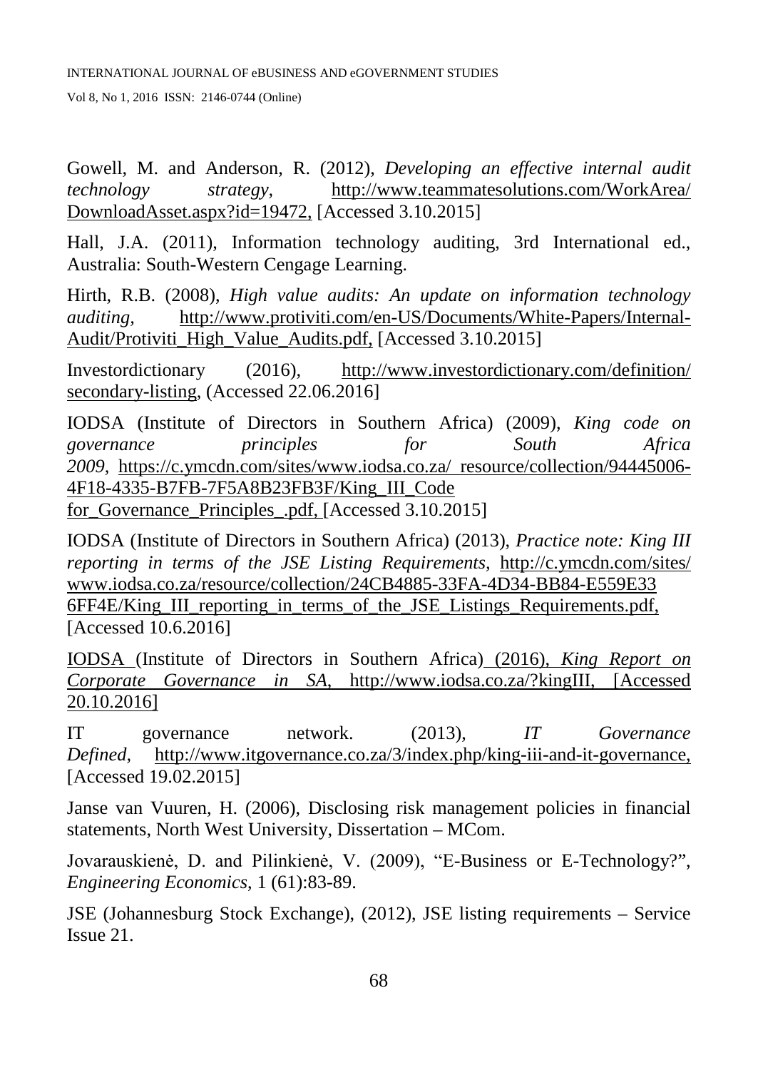Gowell, M. and Anderson, R. (2012), *Developing an effective internal audit technology strategy,* http://www.teammatesolutions.com/WorkArea/ DownloadAsset.aspx?id=19472, [Accessed 3.10.2015]

Hall, J.A. (2011), Information technology auditing, 3rd International ed., Australia: South-Western Cengage Learning.

Hirth, R.B. (2008), *High value audits: An update on information technology auditing,* http://www.protiviti.com/en-US/Documents/White-Papers/Internal-Audit/Protiviti\_High\_Value\_Audits.pdf, [Accessed 3.10.2015]

Investordictionary (2016), <http://www.investordictionary.com/definition/> secondary-listing, (Accessed 22.06.2016]

IODSA (Institute of Directors in Southern Africa) (2009), *King code on governance principles for South Africa 2009,* <https://c.ymcdn.com/sites/www.iodsa.co.za/> resource/collection/94445006- 4F18-4335-B7FB-7F5A8B23FB3F/King\_III\_Code for\_Governance\_Principles\_.pdf, [Accessed 3.10.2015]

IODSA (Institute of Directors in Southern Africa) (2013), *Practice note: King III reporting in terms of the JSE Listing Requirements,* [http://c.ymcdn.com/sites/](http://c.ymcdn.com/sites/%20www.iodsa.co.za/resource/collection/24CB4885-33FA-4D34-BB84-E559E33%206FF4E/King_III_reporting_in_terms_of_the_JSE_Listings_Requirements.pdf)  [www.iodsa.co.za/resource/collection/24CB4885-33FA-4D34-BB84-E559E33](http://c.ymcdn.com/sites/%20www.iodsa.co.za/resource/collection/24CB4885-33FA-4D34-BB84-E559E33%206FF4E/King_III_reporting_in_terms_of_the_JSE_Listings_Requirements.pdf)  [6FF4E/King\\_III\\_reporting\\_in\\_terms\\_of\\_the\\_JSE\\_Listings\\_Requirements.pdf,](http://c.ymcdn.com/sites/%20www.iodsa.co.za/resource/collection/24CB4885-33FA-4D34-BB84-E559E33%206FF4E/King_III_reporting_in_terms_of_the_JSE_Listings_Requirements.pdf) [Accessed 10.6.2016]

IODSA (Institute of Directors in Southern Africa) (2016), *King Report on Corporate Governance in SA*, http://www.iodsa.co.za/?kingIII, [Accessed 20.10.2016]

IT governance network. (2013), *IT Governance Defined,* http://www.itgovernance.co.za/3/index.php/king-iii-and-it-governance, [Accessed 19.02.2015]

Janse van Vuuren, H. (2006), Disclosing risk management policies in financial statements, North West University, Dissertation – MCom.

Jovarauskienė, D. and Pilinkienė, V. (2009), "E-Business or E-Technology?", *Engineering Economics*, 1 (61):83-89.

JSE (Johannesburg Stock Exchange), (2012), JSE listing requirements – Service Issue 21.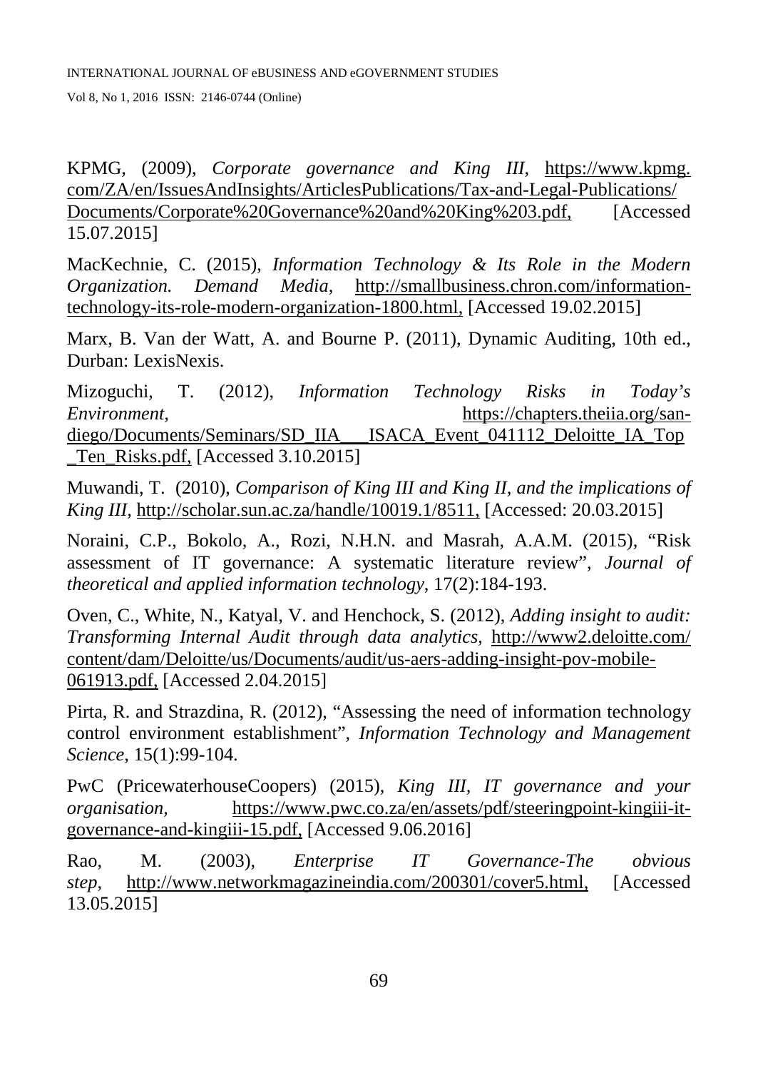KPMG, (2009), *Corporate governance and King III*, https://www.kpmg. com/ZA/en/IssuesAndInsights/ArticlesPublications/Tax-and-Legal-Publications/ Documents/Corporate%20Governance%20and%20King%203.pdf, [Accessed 15.07.2015]

MacKechnie, C. (2015), *Information Technology & Its Role in the Modern Organization. Demand Media,* http://smallbusiness.chron.com/informationtechnology-its-role-modern-organization-1800.html, [Accessed 19.02.2015]

Marx, B. Van der Watt, A. and Bourne P. (2011), Dynamic Auditing, 10th ed., Durban: LexisNexis.

Mizoguchi, T. (2012), *Information Technology Risks in Today's Environment,* https://chapters.theiia.org/sandiego/Documents/Seminars/SD\_IIA\_\_\_ISACA\_Event\_041112\_Deloitte\_IA\_Top Ten\_Risks.pdf, [Accessed 3.10.2015]

Muwandi, T. (2010), *Comparison of King III and King II, and the implications of King III,* http://scholar.sun.ac.za/handle/10019.1/8511, [Accessed: 20.03.2015]

Noraini, C.P., Bokolo, A., Rozi, N.H.N. and Masrah, A.A.M. (2015), "Risk assessment of IT governance: A systematic literature review", *Journal of theoretical and applied information technology*, 17(2):184-193.

Oven, C., White, N., Katyal, V. and Henchock, S. (2012), *Adding insight to audit: Transforming Internal Audit through data analytics,* http://www2.deloitte.com/ content/dam/Deloitte/us/Documents/audit/us-aers-adding-insight-pov-mobile-061913.pdf, [Accessed 2.04.2015]

Pirta, R. and Strazdina, R. (2012), "Assessing the need of information technology control environment establishment", *Information Technology and Management Science*, 15(1):99-104.

PwC (PricewaterhouseCoopers) (2015), *King III, IT governance and your organisation,* [https://www.pwc.co.za/en/assets/pdf/steeringpoint-kingiii-it](https://www.pwc.co.za/en/assets/pdf/steeringpoint-kingiii-it-governance-and-kingiii-15.pdf)[governance-and-kingiii-15.pdf,](https://www.pwc.co.za/en/assets/pdf/steeringpoint-kingiii-it-governance-and-kingiii-15.pdf) [Accessed 9.06.2016]

Rao, M. (2003), *Enterprise IT Governance-The obvious step*, http://www.networkmagazineindia.com/200301/cover5.html, [Accessed 13.05.2015]